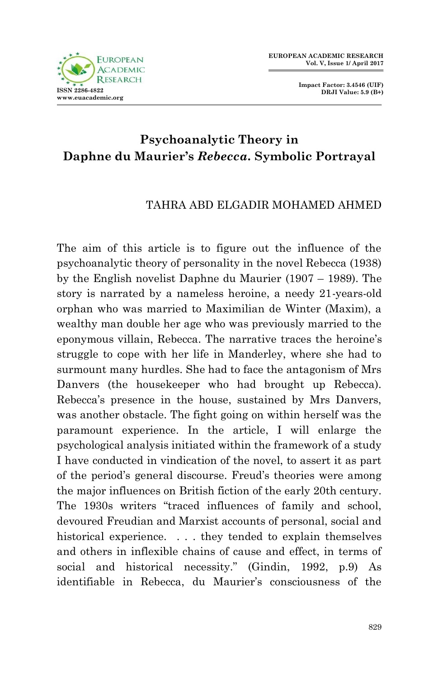

**Impact Factor: 3.4546 (UIF) DRJI Value: 5.9 (B+)**

## **Psychoanalytic Theory in Daphne du Maurier's** *Rebecca.* **Symbolic Portrayal**

## TAHRA ABD ELGADIR MOHAMED AHMED

The aim of this article is to figure out the influence of the psychoanalytic theory of personality in the novel Rebecca (1938) by the English novelist Daphne du Maurier (1907 – 1989). The story is narrated by a nameless heroine, a needy 21-years-old orphan who was married to Maximilian de Winter (Maxim), a wealthy man double her age who was previously married to the eponymous villain, Rebecca. The narrative traces the heroine's struggle to cope with her life in Manderley, where she had to surmount many hurdles. She had to face the antagonism of Mrs Danvers (the housekeeper who had brought up Rebecca). Rebecca's presence in the house, sustained by Mrs Danvers, was another obstacle. The fight going on within herself was the paramount experience. In the article, I will enlarge the psychological analysis initiated within the framework of a study I have conducted in vindication of the novel, to assert it as part of the period's general discourse. Freud's theories were among the major influences on British fiction of the early 20th century. The 1930s writers "traced influences of family and school, devoured Freudian and Marxist accounts of personal, social and historical experience. ... they tended to explain themselves and others in inflexible chains of cause and effect, in terms of social and historical necessity." (Gindin, 1992, p.9) As identifiable in Rebecca, du Maurier's consciousness of the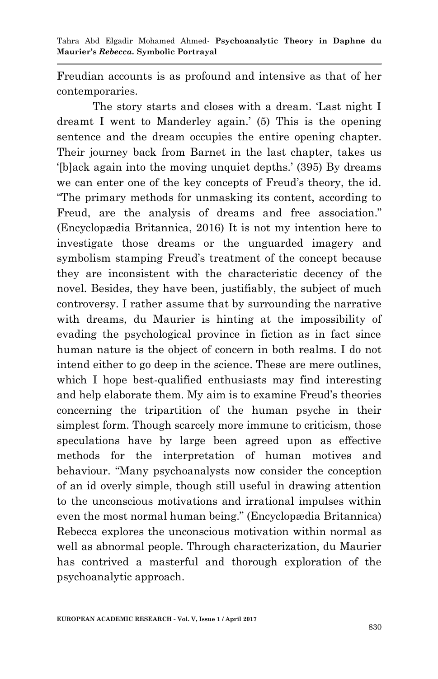Freudian accounts is as profound and intensive as that of her contemporaries.

The story starts and closes with a dream. Last night I dreamt I went to Manderley again.' (5) This is the opening sentence and the dream occupies the entire opening chapter. Their journey back from Barnet in the last chapter, takes us ‗[b]ack again into the moving unquiet depths.' (395) By dreams we can enter one of the key concepts of Freud's theory, the id. ―The primary methods for unmasking its content, according to Freud, are the analysis of dreams and free association." (Encyclopædia Britannica, 2016) It is not my intention here to investigate those dreams or the unguarded imagery and symbolism stamping Freud's treatment of the concept because they are inconsistent with the characteristic decency of the novel. Besides, they have been, justifiably, the subject of much controversy. I rather assume that by surrounding the narrative with dreams, du Maurier is hinting at the impossibility of evading the psychological province in fiction as in fact since human nature is the object of concern in both realms. I do not intend either to go deep in the science. These are mere outlines, which I hope best-qualified enthusiasts may find interesting and help elaborate them. My aim is to examine Freud's theories concerning the tripartition of the human psyche in their simplest form. Though scarcely more immune to criticism, those speculations have by large been agreed upon as effective methods for the interpretation of human motives and behaviour. "Many psychoanalysts now consider the conception of an id overly simple, though still useful in drawing attention to the unconscious motivations and irrational impulses within even the most normal human being." (Encyclopædia Britannica) Rebecca explores the unconscious motivation within normal as well as abnormal people. Through characterization, du Maurier has contrived a masterful and thorough exploration of the psychoanalytic approach.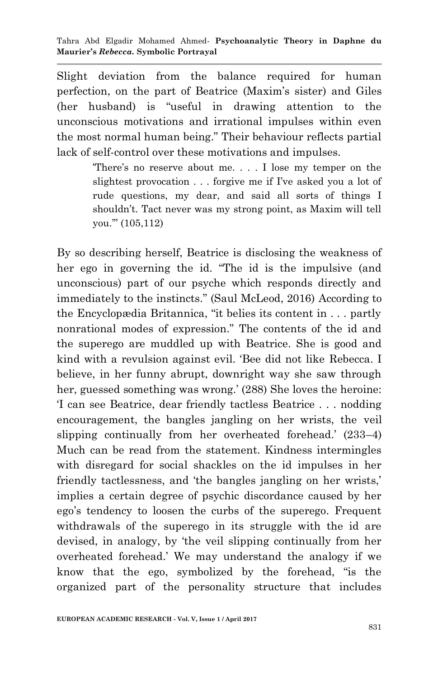Slight deviation from the balance required for human perfection, on the part of Beatrice (Maxim's sister) and Giles  $(her$  husband) is "useful in drawing attention to the unconscious motivations and irrational impulses within even the most normal human being." Their behaviour reflects partial lack of self-control over these motivations and impulses.

> ‗There's no reserve about me. . . . I lose my temper on the slightest provocation . . . forgive me if I've asked you a lot of rude questions, my dear, and said all sorts of things I shouldn't. Tact never was my strong point, as Maxim will tell you."" (105,112)

By so describing herself, Beatrice is disclosing the weakness of her ego in governing the id. "The id is the impulsive (and unconscious) part of our psyche which responds directly and immediately to the instincts." (Saul McLeod, 2016) According to the Encyclopædia Britannica, "it belies its content in  $\ldots$  partly nonrational modes of expression." The contents of the id and the superego are muddled up with Beatrice. She is good and kind with a revulsion against evil. 'Bee did not like Rebecca. I believe, in her funny abrupt, downright way she saw through her, guessed something was wrong.' (288) She loves the heroine: ‗I can see Beatrice, dear friendly tactless Beatrice . . . nodding encouragement, the bangles jangling on her wrists, the veil slipping continually from her overheated forehead.' (233–4) Much can be read from the statement. Kindness intermingles with disregard for social shackles on the id impulses in her friendly tactlessness, and 'the bangles jangling on her wrists,' implies a certain degree of psychic discordance caused by her ego's tendency to loosen the curbs of the superego. Frequent withdrawals of the superego in its struggle with the id are devised, in analogy, by ‗the veil slipping continually from her overheated forehead.' We may understand the analogy if we know that the ego, symbolized by the forehead, "is the organized part of the personality structure that includes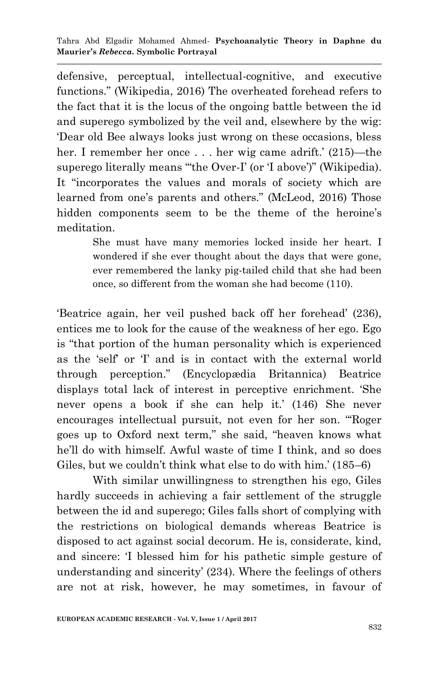defensive, perceptual, intellectual-cognitive, and executive functions." (Wikipedia, 2016) The overheated forehead refers to the fact that it is the locus of the ongoing battle between the id and superego symbolized by the veil and, elsewhere by the wig: ‗Dear old Bee always looks just wrong on these occasions, bless her. I remember her once . . . her wig came adrift.' (215)—the superego literally means "the Over-I' (or T above')" (Wikipedia). It "incorporates the values and morals of society which are learned from one's parents and others." (McLeod, 2016) Those hidden components seem to be the theme of the heroine's meditation.

> She must have many memories locked inside her heart. I wondered if she ever thought about the days that were gone, ever remembered the lanky pig-tailed child that she had been once, so different from the woman she had become (110).

‗Beatrice again, her veil pushed back off her forehead' (236), entices me to look for the cause of the weakness of her ego. Ego is "that portion of the human personality which is experienced as the 'self' or T and is in contact with the external world through perception.‖ (Encyclopædia Britannica) Beatrice displays total lack of interest in perceptive enrichment. She never opens a book if she can help it.' (146) She never encourages intellectual pursuit, not even for her son. "Roger goes up to Oxford next term," she said, "heaven knows what he'll do with himself. Awful waste of time I think, and so does Giles, but we couldn't think what else to do with him.' (185–6)

 With similar unwillingness to strengthen his ego, Giles hardly succeeds in achieving a fair settlement of the struggle between the id and superego; Giles falls short of complying with the restrictions on biological demands whereas Beatrice is disposed to act against social decorum. He is, considerate, kind, and sincere: ‗I blessed him for his pathetic simple gesture of understanding and sincerity' (234). Where the feelings of others are not at risk, however, he may sometimes, in favour of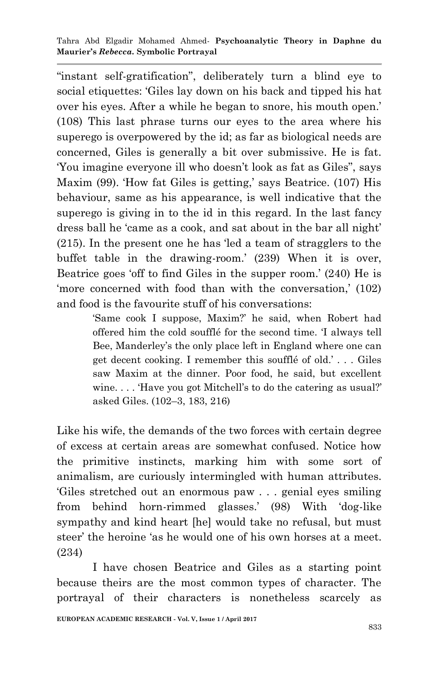"instant self-gratification", deliberately turn a blind eye to social etiquettes: 'Giles lay down on his back and tipped his hat over his eyes. After a while he began to snore, his mouth open.' (108) This last phrase turns our eyes to the area where his superego is overpowered by the id; as far as biological needs are concerned, Giles is generally a bit over submissive. He is fat. You imagine everyone ill who doesn't look as fat as Giles", says Maxim (99). 'How fat Giles is getting,' says Beatrice. (107) His behaviour, same as his appearance, is well indicative that the superego is giving in to the id in this regard. In the last fancy dress ball he 'came as a cook, and sat about in the bar all night'  $(215)$ . In the present one he has 'led a team of stragglers to the buffet table in the drawing-room.' (239) When it is over, Beatrice goes 'off to find Giles in the supper room.'  $(240)$  He is ‗more concerned with food than with the conversation,' (102) and food is the favourite stuff of his conversations:

> ‗Same cook I suppose, Maxim?' he said, when Robert had offered him the cold soufflé for the second time. I always tell Bee, Manderley's the only place left in England where one can get decent cooking. I remember this soufflé of old.' . . . Giles saw Maxim at the dinner. Poor food, he said, but excellent wine.... Have you got Mitchell's to do the catering as usual? asked Giles. (102–3, 183, 216)

Like his wife, the demands of the two forces with certain degree of excess at certain areas are somewhat confused. Notice how the primitive instincts, marking him with some sort of animalism, are curiously intermingled with human attributes. ‗Giles stretched out an enormous paw . . . genial eyes smiling from behind horn-rimmed glasses.' (98) With ‗dog-like sympathy and kind heart [he] would take no refusal, but must steer' the heroine 'as he would one of his own horses at a meet. (234)

 I have chosen Beatrice and Giles as a starting point because theirs are the most common types of character. The portrayal of their characters is nonetheless scarcely as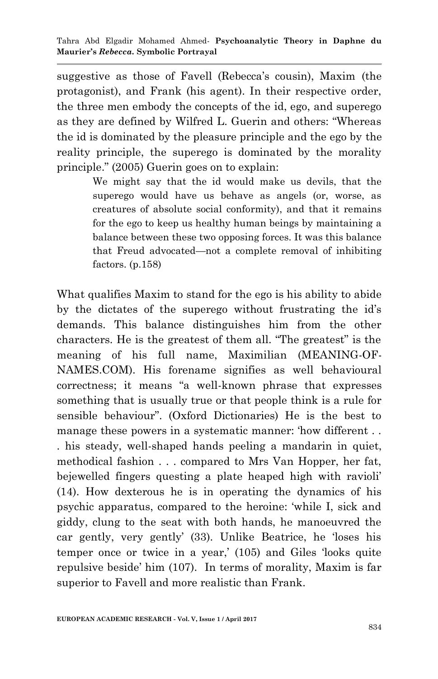suggestive as those of Favell (Rebecca's cousin), Maxim (the protagonist), and Frank (his agent). In their respective order, the three men embody the concepts of the id, ego, and superego as they are defined by Wilfred L. Guerin and others: "Whereas the id is dominated by the pleasure principle and the ego by the reality principle, the superego is dominated by the morality principle." (2005) Guerin goes on to explain:

> We might say that the id would make us devils, that the superego would have us behave as angels (or, worse, as creatures of absolute social conformity), and that it remains for the ego to keep us healthy human beings by maintaining a balance between these two opposing forces. It was this balance that Freud advocated—not a complete removal of inhibiting factors. (p.158)

What qualifies Maxim to stand for the ego is his ability to abide by the dictates of the superego without frustrating the id's demands. This balance distinguishes him from the other characters. He is the greatest of them all. "The greatest" is the meaning of his full name, Maximilian (MEANING-OF-NAMES.COM). His forename signifies as well behavioural correctness; it means "a well-known phrase that expresses something that is usually true or that people think is a rule for sensible behaviour". (Oxford Dictionaries) He is the best to manage these powers in a systematic manner: 'how different ... . his steady, well-shaped hands peeling a mandarin in quiet, methodical fashion . . . compared to Mrs Van Hopper, her fat, bejewelled fingers questing a plate heaped high with ravioli' (14). How dexterous he is in operating the dynamics of his psychic apparatus, compared to the heroine: ‗while I, sick and giddy, clung to the seat with both hands, he manoeuvred the car gently, very gently' (33). Unlike Beatrice, he 'loses his temper once or twice in a year,' (105) and Giles 'looks quite repulsive beside' him (107). In terms of morality, Maxim is far superior to Favell and more realistic than Frank.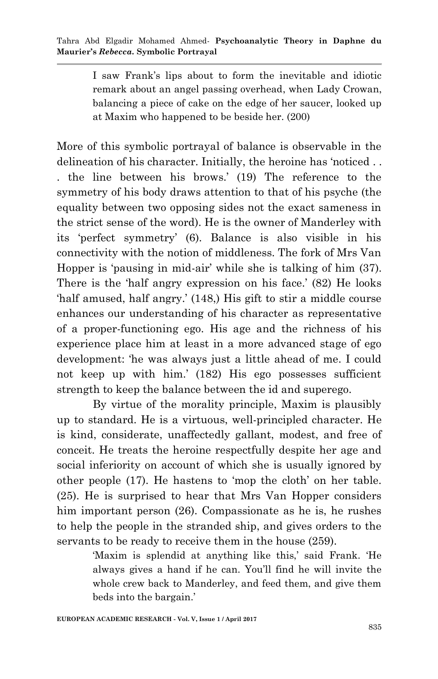I saw Frank's lips about to form the inevitable and idiotic remark about an angel passing overhead, when Lady Crowan, balancing a piece of cake on the edge of her saucer, looked up at Maxim who happened to be beside her. (200)

More of this symbolic portrayal of balance is observable in the delineation of his character. Initially, the heroine has 'noticed ... . the line between his brows.' (19) The reference to the symmetry of his body draws attention to that of his psyche (the equality between two opposing sides not the exact sameness in the strict sense of the word). He is the owner of Manderley with its ‗perfect symmetry' (6). Balance is also visible in his connectivity with the notion of middleness. The fork of Mrs Van Hopper is 'pausing in mid-air' while she is talking of him (37). There is the 'half angry expression on his face.' (82) He looks ‗half amused, half angry.' (148,) His gift to stir a middle course enhances our understanding of his character as representative of a proper-functioning ego. His age and the richness of his experience place him at least in a more advanced stage of ego development: ‗he was always just a little ahead of me. I could not keep up with him.' (182) His ego possesses sufficient strength to keep the balance between the id and superego.

 By virtue of the morality principle, Maxim is plausibly up to standard. He is a virtuous, well-principled character. He is kind, considerate, unaffectedly gallant, modest, and free of conceit. He treats the heroine respectfully despite her age and social inferiority on account of which she is usually ignored by other people (17). He hastens to 'mop the cloth' on her table. (25). He is surprised to hear that Mrs Van Hopper considers him important person (26). Compassionate as he is, he rushes to help the people in the stranded ship, and gives orders to the servants to be ready to receive them in the house (259).

> ‗Maxim is splendid at anything like this,' said Frank. ‗He always gives a hand if he can. You'll find he will invite the whole crew back to Manderley, and feed them, and give them beds into the bargain.'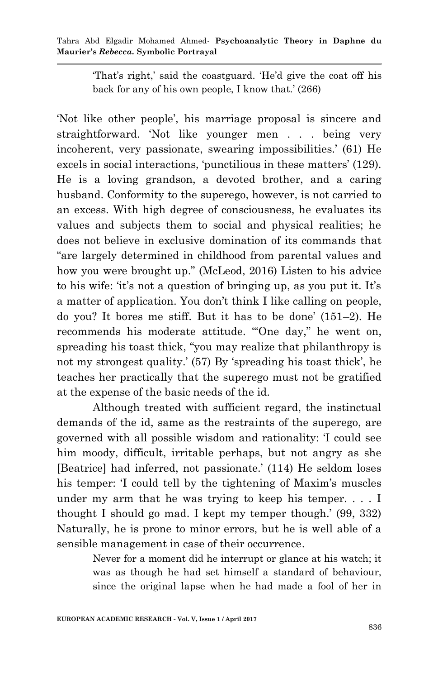> ‗That's right,' said the coastguard. ‗He'd give the coat off his back for any of his own people, I know that.' (266)

‗Not like other people', his marriage proposal is sincere and straightforward. 'Not like younger men . . . being very incoherent, very passionate, swearing impossibilities.' (61) He excels in social interactions, 'punctilious in these matters' (129). He is a loving grandson, a devoted brother, and a caring husband. Conformity to the superego, however, is not carried to an excess. With high degree of consciousness, he evaluates its values and subjects them to social and physical realities; he does not believe in exclusive domination of its commands that "are largely determined in childhood from parental values and how you were brought up." (McLeod, 2016) Listen to his advice to his wife: ‗it's not a question of bringing up, as you put it. It's a matter of application. You don't think I like calling on people, do you? It bores me stiff. But it has to be done' (151–2). He recommends his moderate attitude. "One day," he went on, spreading his toast thick, "you may realize that philanthropy is not my strongest quality.' (57) By 'spreading his toast thick', he teaches her practically that the superego must not be gratified at the expense of the basic needs of the id.

 Although treated with sufficient regard, the instinctual demands of the id, same as the restraints of the superego, are governed with all possible wisdom and rationality: ‗I could see him moody, difficult, irritable perhaps, but not angry as she [Beatrice] had inferred, not passionate.' (114) He seldom loses his temper: T could tell by the tightening of Maxim's muscles under my arm that he was trying to keep his temper. . . . I thought I should go mad. I kept my temper though.' (99, 332) Naturally, he is prone to minor errors, but he is well able of a sensible management in case of their occurrence.

> Never for a moment did he interrupt or glance at his watch; it was as though he had set himself a standard of behaviour, since the original lapse when he had made a fool of her in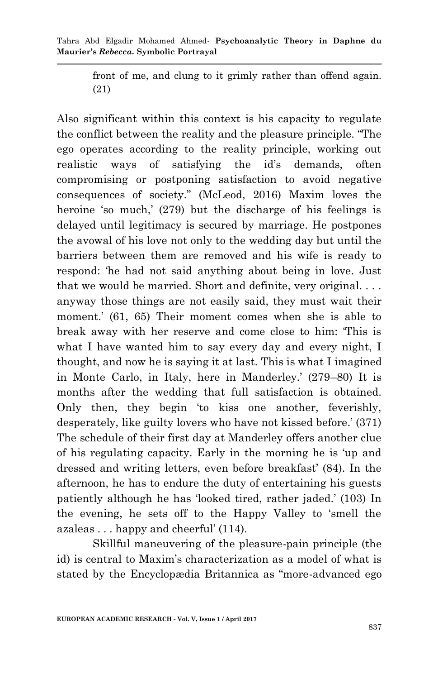> front of me, and clung to it grimly rather than offend again. (21)

Also significant within this context is his capacity to regulate the conflict between the reality and the pleasure principle. "The ego operates according to the reality principle, working out realistic ways of satisfying the id's demands, often compromising or postponing satisfaction to avoid negative consequences of society.‖ (McLeod, 2016) Maxim loves the heroine 'so much,' (279) but the discharge of his feelings is delayed until legitimacy is secured by marriage. He postpones the avowal of his love not only to the wedding day but until the barriers between them are removed and his wife is ready to respond: 'he had not said anything about being in love. Just that we would be married. Short and definite, very original. . . . anyway those things are not easily said, they must wait their moment.' (61, 65) Their moment comes when she is able to break away with her reserve and come close to him: ‗This is what I have wanted him to say every day and every night, I thought, and now he is saying it at last. This is what I imagined in Monte Carlo, in Italy, here in Manderley.' (279–80) It is months after the wedding that full satisfaction is obtained. Only then, they begin 'to kiss one another, feverishly, desperately, like guilty lovers who have not kissed before.' (371) The schedule of their first day at Manderley offers another clue of his regulating capacity. Early in the morning he is ‗up and dressed and writing letters, even before breakfast' (84). In the afternoon, he has to endure the duty of entertaining his guests patiently although he has 'looked tired, rather jaded.' (103) In the evening, he sets off to the Happy Valley to 'smell the azaleas . . . happy and cheerful' (114).

 Skillful maneuvering of the pleasure-pain principle (the id) is central to Maxim's characterization as a model of what is stated by the Encyclopædia Britannica as "more-advanced ego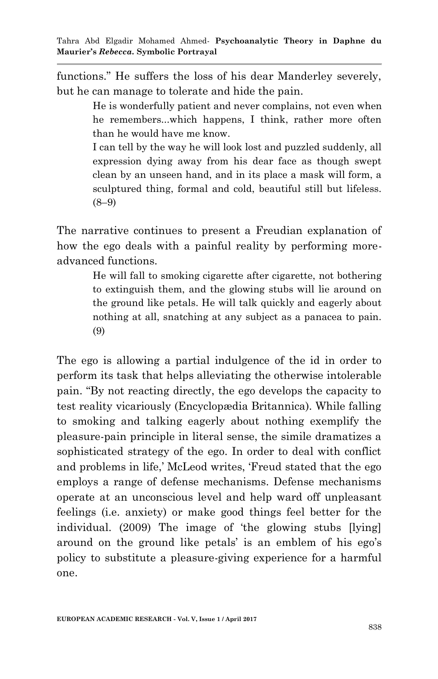functions." He suffers the loss of his dear Manderley severely, but he can manage to tolerate and hide the pain.

> He is wonderfully patient and never complains, not even when he remembers...which happens, I think, rather more often than he would have me know.

> I can tell by the way he will look lost and puzzled suddenly, all expression dying away from his dear face as though swept clean by an unseen hand, and in its place a mask will form, a sculptured thing, formal and cold, beautiful still but lifeless.  $(8-9)$

The narrative continues to present a Freudian explanation of how the ego deals with a painful reality by performing moreadvanced functions.

> He will fall to smoking cigarette after cigarette, not bothering to extinguish them, and the glowing stubs will lie around on the ground like petals. He will talk quickly and eagerly about nothing at all, snatching at any subject as a panacea to pain. (9)

The ego is allowing a partial indulgence of the id in order to perform its task that helps alleviating the otherwise intolerable pain. ―By not reacting directly, the ego develops the capacity to test reality vicariously (Encyclopædia Britannica). While falling to smoking and talking eagerly about nothing exemplify the pleasure-pain principle in literal sense, the simile dramatizes a sophisticated strategy of the ego. In order to deal with conflict and problems in life,' McLeod writes, 'Freud stated that the ego employs a range of defense mechanisms. Defense mechanisms operate at an unconscious level and help ward off unpleasant feelings (i.e. anxiety) or make good things feel better for the individual. (2009) The image of 'the glowing stubs [lying] around on the ground like petals' is an emblem of his ego's policy to substitute a pleasure-giving experience for a harmful one.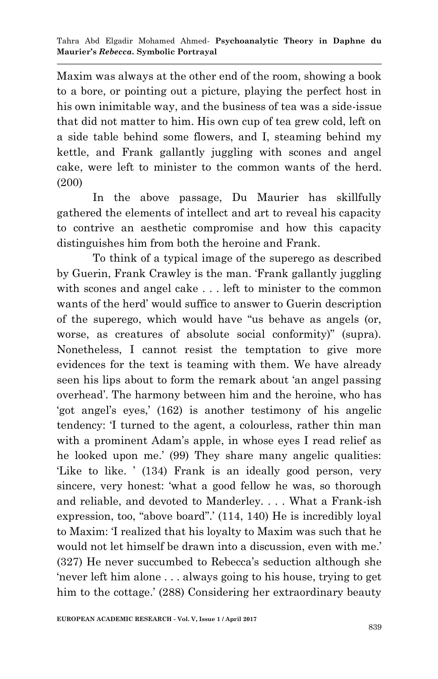Maxim was always at the other end of the room, showing a book to a bore, or pointing out a picture, playing the perfect host in his own inimitable way, and the business of tea was a side-issue that did not matter to him. His own cup of tea grew cold, left on a side table behind some flowers, and I, steaming behind my kettle, and Frank gallantly juggling with scones and angel cake, were left to minister to the common wants of the herd. (200)

In the above passage, Du Maurier has skillfully gathered the elements of intellect and art to reveal his capacity to contrive an aesthetic compromise and how this capacity distinguishes him from both the heroine and Frank.

 To think of a typical image of the superego as described by Guerin, Frank Crawley is the man. Frank gallantly juggling with scones and angel cake . . . left to minister to the common wants of the herd' would suffice to answer to Guerin description of the superego, which would have "us behave as angels (or, worse, as creatures of absolute social conformity)" (supra). Nonetheless, I cannot resist the temptation to give more evidences for the text is teaming with them. We have already seen his lips about to form the remark about 'an angel passing overhead'. The harmony between him and the heroine, who has ‗got angel's eyes,' (162) is another testimony of his angelic tendency: T turned to the agent, a colourless, rather thin man with a prominent Adam's apple, in whose eyes I read relief as he looked upon me.' (99) They share many angelic qualities: ‗Like to like. ' (134) Frank is an ideally good person, very sincere, very honest: 'what a good fellow he was, so thorough and reliable, and devoted to Manderley. . . . What a Frank-ish expression, too, "above board".' (114, 140) He is incredibly loyal to Maxim: T realized that his loyalty to Maxim was such that he would not let himself be drawn into a discussion, even with me.' (327) He never succumbed to Rebecca's seduction although she "never left him alone  $\dots$  always going to his house, trying to get him to the cottage.' (288) Considering her extraordinary beauty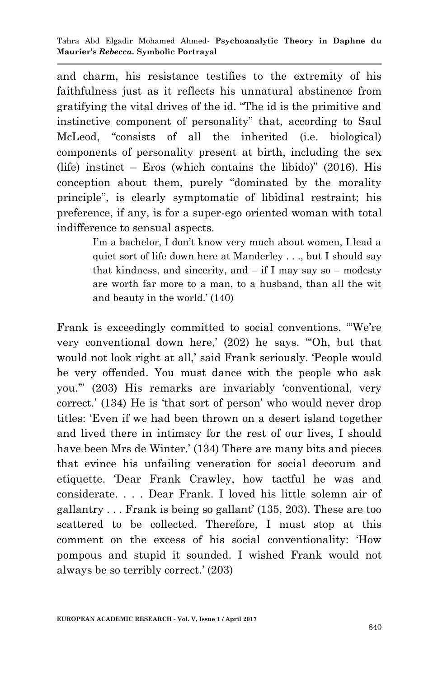and charm, his resistance testifies to the extremity of his faithfulness just as it reflects his unnatural abstinence from gratifying the vital drives of the id. "The id is the primitive and instinctive component of personality" that, according to Saul McLeod, "consists of all the inherited (i.e. biological) components of personality present at birth, including the sex (life) instinct – Eros (which contains the libido)"  $(2016)$ . His conception about them, purely "dominated by the morality principle", is clearly symptomatic of libidinal restraint; his preference, if any, is for a super-ego oriented woman with total indifference to sensual aspects.

> I'm a bachelor, I don't know very much about women, I lead a quiet sort of life down here at Manderley . . ., but I should say that kindness, and sincerity, and  $-$  if I may say so  $-$  modesty are worth far more to a man, to a husband, than all the wit and beauty in the world.' (140)

Frank is exceedingly committed to social conventions. "We're very conventional down here,' (202) he says. "Oh, but that would not look right at all,' said Frank seriously. 'People would be very offended. You must dance with the people who ask you.'‖ (203) His remarks are invariably ‗conventional, very correct.' (134) He is 'that sort of person' who would never drop titles: ‗Even if we had been thrown on a desert island together and lived there in intimacy for the rest of our lives, I should have been Mrs de Winter.' (134) There are many bits and pieces that evince his unfailing veneration for social decorum and etiquette. ‗Dear Frank Crawley, how tactful he was and considerate. . . . Dear Frank. I loved his little solemn air of gallantry . . . Frank is being so gallant' (135, 203). These are too scattered to be collected. Therefore, I must stop at this comment on the excess of his social conventionality: 'How pompous and stupid it sounded. I wished Frank would not always be so terribly correct.' (203)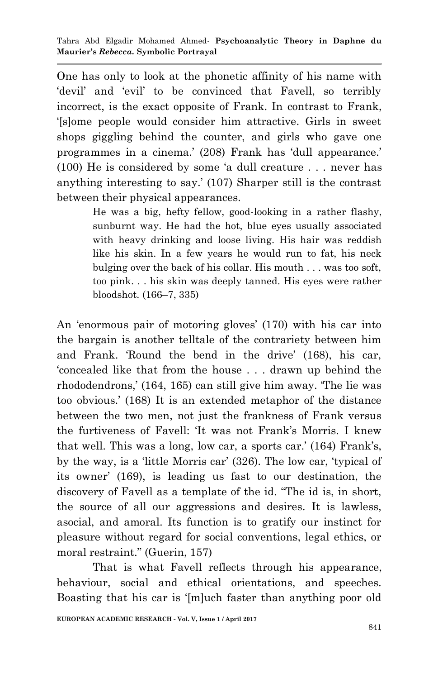One has only to look at the phonetic affinity of his name with devil' and 'evil' to be convinced that Favell, so terribly incorrect, is the exact opposite of Frank. In contrast to Frank, ‗[s]ome people would consider him attractive. Girls in sweet shops giggling behind the counter, and girls who gave one programmes in a cinema.' (208) Frank has 'dull appearance.'  $(100)$  He is considered by some 'a dull creature . . . never has anything interesting to say.' (107) Sharper still is the contrast between their physical appearances.

> He was a big, hefty fellow, good-looking in a rather flashy, sunburnt way. He had the hot, blue eyes usually associated with heavy drinking and loose living. His hair was reddish like his skin. In a few years he would run to fat, his neck bulging over the back of his collar. His mouth . . . was too soft, too pink. . . his skin was deeply tanned. His eyes were rather bloodshot. (166–7, 335)

An 'enormous pair of motoring gloves' (170) with his car into the bargain is another telltale of the contrariety between him and Frank. Round the bend in the drive' (168), his car, ‗concealed like that from the house . . . drawn up behind the rhododendrons,' (164, 165) can still give him away. The lie was too obvious.' (168) It is an extended metaphor of the distance between the two men, not just the frankness of Frank versus the furtiveness of Favell: ‗It was not Frank's Morris. I knew that well. This was a long, low car, a sports car.' (164) Frank's, by the way, is a 'little Morris car' (326). The low car, 'typical of its owner' (169), is leading us fast to our destination, the discovery of Favell as a template of the id. "The id is, in short, the source of all our aggressions and desires. It is lawless, asocial, and amoral. Its function is to gratify our instinct for pleasure without regard for social conventions, legal ethics, or moral restraint." (Guerin, 157)

 That is what Favell reflects through his appearance, behaviour, social and ethical orientations, and speeches. Boasting that his car is '[m]uch faster than anything poor old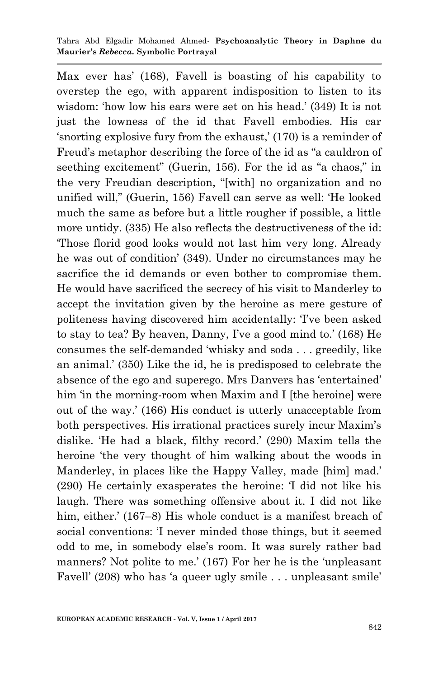Tahra Abd Elgadir Mohamed Ahmed*-* **Psychoanalytic Theory in Daphne du Maurier's** *Rebecca.* **Symbolic Portrayal**

Max ever has' (168), Favell is boasting of his capability to overstep the ego, with apparent indisposition to listen to its wisdom: 'how low his ears were set on his head.' (349) It is not just the lowness of the id that Favell embodies. His car ‗snorting explosive fury from the exhaust,' (170) is a reminder of Freud's metaphor describing the force of the id as "a cauldron of seething excitement" (Guerin, 156). For the id as "a chaos," in the very Freudian description, "[with] no organization and no unified will," (Guerin, 156) Favell can serve as well: 'He looked much the same as before but a little rougher if possible, a little more untidy. (335) He also reflects the destructiveness of the id: ‗Those florid good looks would not last him very long. Already he was out of condition' (349). Under no circumstances may he sacrifice the id demands or even bother to compromise them. He would have sacrificed the secrecy of his visit to Manderley to accept the invitation given by the heroine as mere gesture of politeness having discovered him accidentally: ‗I've been asked to stay to tea? By heaven, Danny, I've a good mind to.' (168) He consumes the self-demanded ‗whisky and soda . . . greedily, like an animal.' (350) Like the id, he is predisposed to celebrate the absence of the ego and superego. Mrs Danvers has 'entertained' him 'in the morning-room when Maxim and I [the heroine] were out of the way.' (166) His conduct is utterly unacceptable from both perspectives. His irrational practices surely incur Maxim's dislike. ‗He had a black, filthy record.' (290) Maxim tells the heroine 'the very thought of him walking about the woods in Manderley, in places like the Happy Valley, made [him] mad.' (290) He certainly exasperates the heroine: T did not like his laugh. There was something offensive about it. I did not like him, either.' (167–8) His whole conduct is a manifest breach of social conventions: T never minded those things, but it seemed odd to me, in somebody else's room. It was surely rather bad manners? Not polite to me.' (167) For her he is the 'unpleasant Favell' (208) who has 'a queer ugly smile . . . unpleasant smile'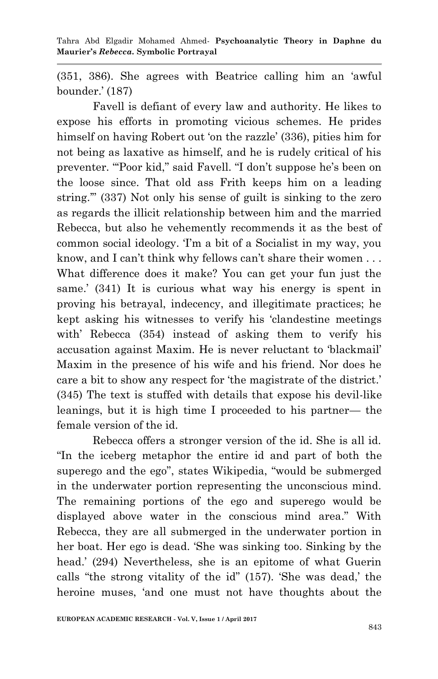(351, 386). She agrees with Beatrice calling him an ‗awful bounder.' (187)

 Favell is defiant of every law and authority. He likes to expose his efforts in promoting vicious schemes. He prides himself on having Robert out 'on the razzle' (336), pities him for not being as laxative as himself, and he is rudely critical of his preventer. "Poor kid," said Favell. "I don't suppose he's been on the loose since. That old ass Frith keeps him on a leading string." (337) Not only his sense of guilt is sinking to the zero as regards the illicit relationship between him and the married Rebecca, but also he vehemently recommends it as the best of common social ideology. T<sub>m</sub> a bit of a Socialist in my way, you know, and I can't think why fellows can't share their women . . . What difference does it make? You can get your fun just the same.' (341) It is curious what way his energy is spent in proving his betrayal, indecency, and illegitimate practices; he kept asking his witnesses to verify his 'clandestine meetings with' Rebecca (354) instead of asking them to verify his accusation against Maxim. He is never reluctant to 'blackmail' Maxim in the presence of his wife and his friend. Nor does he care a bit to show any respect for 'the magistrate of the district.' (345) The text is stuffed with details that expose his devil-like leanings, but it is high time I proceeded to his partner— the female version of the id.

 Rebecca offers a stronger version of the id. She is all id. ―In the iceberg metaphor the entire id and part of both the superego and the ego", states Wikipedia, "would be submerged in the underwater portion representing the unconscious mind. The remaining portions of the ego and superego would be displayed above water in the conscious mind area." With Rebecca, they are all submerged in the underwater portion in her boat. Her ego is dead. 'She was sinking too. Sinking by the head.' (294) Nevertheless, she is an epitome of what Guerin calls "the strong vitality of the id" (157). 'She was dead,' the heroine muses, 'and one must not have thoughts about the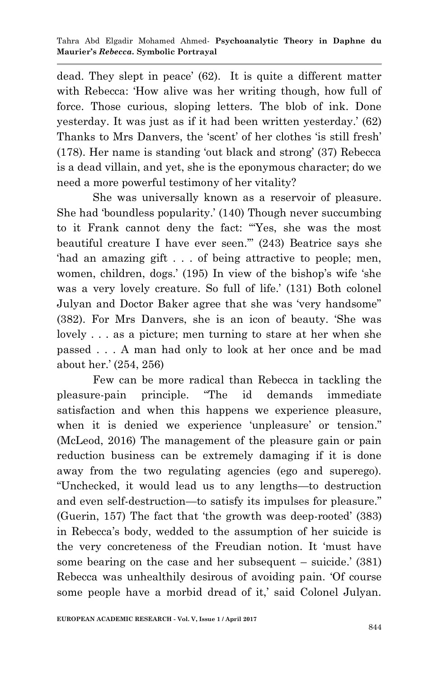dead. They slept in peace' (62). It is quite a different matter with Rebecca: 'How alive was her writing though, how full of force. Those curious, sloping letters. The blob of ink. Done yesterday. It was just as if it had been written yesterday.' (62) Thanks to Mrs Danvers, the 'scent' of her clothes 'is still fresh'  $(178)$ . Her name is standing 'out black and strong'  $(37)$  Rebecca is a dead villain, and yet, she is the eponymous character; do we need a more powerful testimony of her vitality?

 She was universally known as a reservoir of pleasure. She had 'boundless popularity.' (140) Though never succumbing to it Frank cannot deny the fact: "Yes, she was the most beautiful creature I have ever seen."  $(243)$  Beatrice says she had an amazing gift . . . of being attractive to people; men, women, children, dogs.' (195) In view of the bishop's wife 'she was a very lovely creature. So full of life.' (131) Both colonel Julyan and Doctor Baker agree that she was 'very handsome" (382). For Mrs Danvers, she is an icon of beauty. 'She was lovely . . . as a picture; men turning to stare at her when she passed . . . A man had only to look at her once and be mad about her.' (254, 256)

 Few can be more radical than Rebecca in tackling the pleasure-pain principle. "The id demands immediate satisfaction and when this happens we experience pleasure, when it is denied we experience 'unpleasure' or tension." (McLeod, 2016) The management of the pleasure gain or pain reduction business can be extremely damaging if it is done away from the two regulating agencies (ego and superego). ―Unchecked, it would lead us to any lengths—to destruction and even self-destruction—to satisfy its impulses for pleasure." (Guerin, 157) The fact that 'the growth was deep-rooted'  $(383)$ in Rebecca's body, wedded to the assumption of her suicide is the very concreteness of the Freudian notion. It 'must have some bearing on the case and her subsequent – suicide.' (381) Rebecca was unhealthily desirous of avoiding pain. Of course some people have a morbid dread of it,' said Colonel Julyan.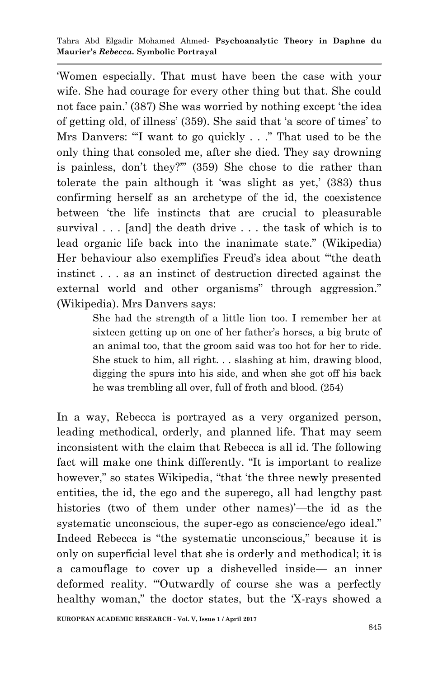‗Women especially. That must have been the case with your wife. She had courage for every other thing but that. She could not face pain.' (387) She was worried by nothing except 'the idea of getting old, of illness' (359). She said that ‗a score of times' to Mrs Danvers: "I want to go quickly  $\ldots$ ." That used to be the only thing that consoled me, after she died. They say drowning is painless, don't they?" (359) She chose to die rather than tolerate the pain although it 'was slight as yet,' (383) thus confirming herself as an archetype of the id, the coexistence between 'the life instincts that are crucial to pleasurable survival . . . [and] the death drive . . . the task of which is to lead organic life back into the inanimate state." (Wikipedia) Her behaviour also exemplifies Freud's idea about "the death instinct . . . as an instinct of destruction directed against the external world and other organisms" through aggression." (Wikipedia). Mrs Danvers says:

> She had the strength of a little lion too. I remember her at sixteen getting up on one of her father's horses, a big brute of an animal too, that the groom said was too hot for her to ride. She stuck to him, all right. . . slashing at him, drawing blood, digging the spurs into his side, and when she got off his back he was trembling all over, full of froth and blood. (254)

In a way, Rebecca is portrayed as a very organized person, leading methodical, orderly, and planned life. That may seem inconsistent with the claim that Rebecca is all id. The following fact will make one think differently. "It is important to realize however," so states Wikipedia, "that 'the three newly presented entities, the id, the ego and the superego, all had lengthy past histories (two of them under other names)'—the id as the systematic unconscious, the super-ego as conscience/ego ideal." Indeed Rebecca is "the systematic unconscious," because it is only on superficial level that she is orderly and methodical; it is a camouflage to cover up a dishevelled inside— an inner deformed reality. "Outwardly of course she was a perfectly healthy woman," the doctor states, but the 'X-rays showed a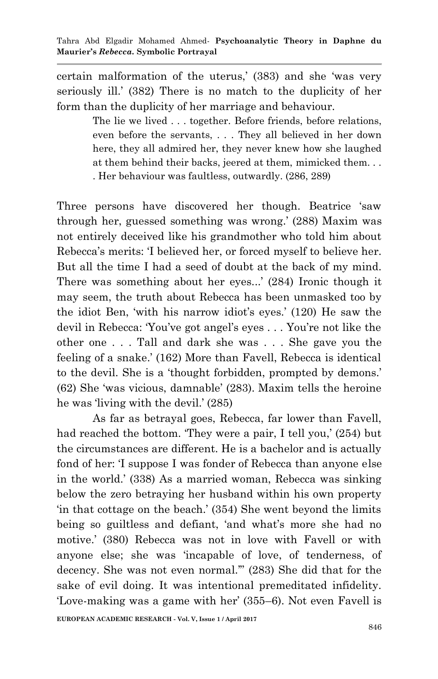certain malformation of the uterus,' (383) and she 'was very seriously ill.' (382) There is no match to the duplicity of her form than the duplicity of her marriage and behaviour.

> The lie we lived . . . together. Before friends, before relations, even before the servants, . . . They all believed in her down here, they all admired her, they never knew how she laughed at them behind their backs, jeered at them, mimicked them. . . . Her behaviour was faultless, outwardly. (286, 289)

Three persons have discovered her though. Beatrice 'saw through her, guessed something was wrong.' (288) Maxim was not entirely deceived like his grandmother who told him about Rebecca's merits: 'I believed her, or forced myself to believe her. But all the time I had a seed of doubt at the back of my mind. There was something about her eyes...' (284) Ironic though it may seem, the truth about Rebecca has been unmasked too by the idiot Ben, ‗with his narrow idiot's eyes.' (120) He saw the devil in Rebecca: 'You've got angel's eyes . . . You're not like the other one . . . Tall and dark she was . . . She gave you the feeling of a snake.' (162) More than Favell, Rebecca is identical to the devil. She is a 'thought forbidden, prompted by demons.' (62) She ‗was vicious, damnable' (283). Maxim tells the heroine he was 'living with the devil.' (285)

 As far as betrayal goes, Rebecca, far lower than Favell, had reached the bottom. They were a pair, I tell you,' (254) but the circumstances are different. He is a bachelor and is actually fond of her: T suppose I was fonder of Rebecca than anyone else in the world.' (338) As a married woman, Rebecca was sinking below the zero betraying her husband within his own property ‗in that cottage on the beach.' (354) She went beyond the limits being so guiltless and defiant, 'and what's more she had no motive.' (380) Rebecca was not in love with Favell or with anyone else; she was ‗incapable of love, of tenderness, of decency. She was not even normal."" (283) She did that for the sake of evil doing. It was intentional premeditated infidelity. ‗Love-making was a game with her' (355–6). Not even Favell is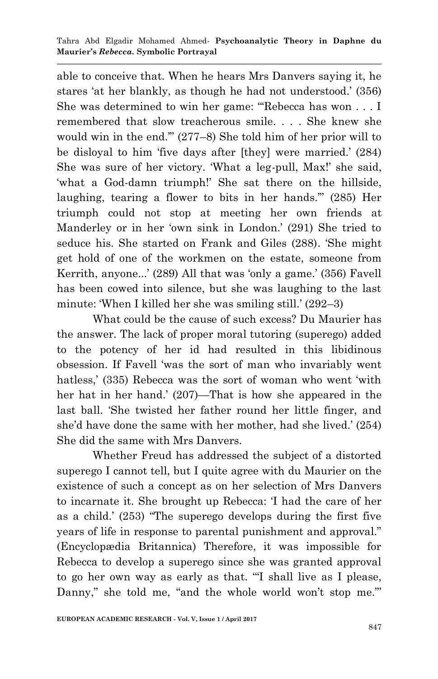able to conceive that. When he hears Mrs Danvers saying it, he stares 'at her blankly, as though he had not understood.' (356) She was determined to win her game: "Rebecca has won  $\dots$  I remembered that slow treacherous smile. . . . She knew she would win in the end."  $(277-8)$  She told him of her prior will to be disloyal to him 'five days after [they] were married.' (284) She was sure of her victory. 'What a leg-pull, Max!' she said, ‗what a God-damn triumph!' She sat there on the hillside, laughing, tearing a flower to bits in her hands." (285) Her triumph could not stop at meeting her own friends at Manderley or in her 'own sink in London.' (291) She tried to seduce his. She started on Frank and Giles (288). 'She might get hold of one of the workmen on the estate, someone from Kerrith, anyone...' (289) All that was 'only a game.' (356) Favell has been cowed into silence, but she was laughing to the last minute: 'When I killed her she was smiling still.' (292–3)

 What could be the cause of such excess? Du Maurier has the answer. The lack of proper moral tutoring (superego) added to the potency of her id had resulted in this libidinous obsession. If Favell ‗was the sort of man who invariably went hatless,' (335) Rebecca was the sort of woman who went 'with her hat in her hand.' (207)—That is how she appeared in the last ball. ‗She twisted her father round her little finger, and she'd have done the same with her mother, had she lived.' (254) She did the same with Mrs Danvers.

 Whether Freud has addressed the subject of a distorted superego I cannot tell, but I quite agree with du Maurier on the existence of such a concept as on her selection of Mrs Danvers to incarnate it. She brought up Rebecca: ‗I had the care of her as a child.' (253) "The superego develops during the first five years of life in response to parental punishment and approval." (Encyclopædia Britannica) Therefore, it was impossible for Rebecca to develop a superego since she was granted approval to go her own way as early as that. "I shall live as I please, Danny," she told me, "and the whole world won't stop me."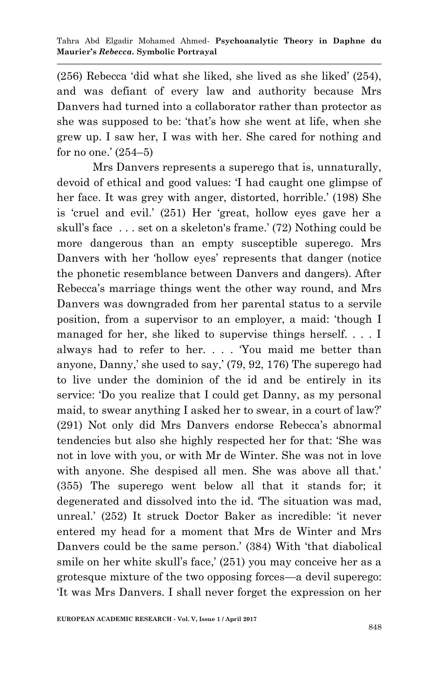$(256)$  Rebecca 'did what she liked, she lived as she liked'  $(254)$ , and was defiant of every law and authority because Mrs Danvers had turned into a collaborator rather than protector as she was supposed to be: 'that's how she went at life, when she grew up. I saw her, I was with her. She cared for nothing and for no one.' (254–5)

 Mrs Danvers represents a superego that is, unnaturally, devoid of ethical and good values: ‗I had caught one glimpse of her face. It was grey with anger, distorted, horrible.' (198) She is 'cruel and evil.' (251) Her 'great, hollow eyes gave her a skull's face . . . set on a skeleton's frame.' (72) Nothing could be more dangerous than an empty susceptible superego. Mrs Danvers with her 'hollow eyes' represents that danger (notice the phonetic resemblance between Danvers and dangers). After Rebecca's marriage things went the other way round, and Mrs Danvers was downgraded from her parental status to a servile position, from a supervisor to an employer, a maid: ‗though I managed for her, she liked to supervise things herself. . . . I always had to refer to her. . . . You maid me better than anyone, Danny,' she used to say,' (79, 92, 176) The superego had to live under the dominion of the id and be entirely in its service: 'Do you realize that I could get Danny, as my personal maid, to swear anything I asked her to swear, in a court of law?' (291) Not only did Mrs Danvers endorse Rebecca's abnormal tendencies but also she highly respected her for that: ‗She was not in love with you, or with Mr de Winter. She was not in love with anyone. She despised all men. She was above all that.' (355) The superego went below all that it stands for; it degenerated and dissolved into the id. The situation was mad, unreal.' (252) It struck Doctor Baker as incredible: ‗it never entered my head for a moment that Mrs de Winter and Mrs Danvers could be the same person.' (384) With 'that diabolical smile on her white skull's face,' (251) you may conceive her as a grotesque mixture of the two opposing forces—a devil superego: ‗It was Mrs Danvers. I shall never forget the expression on her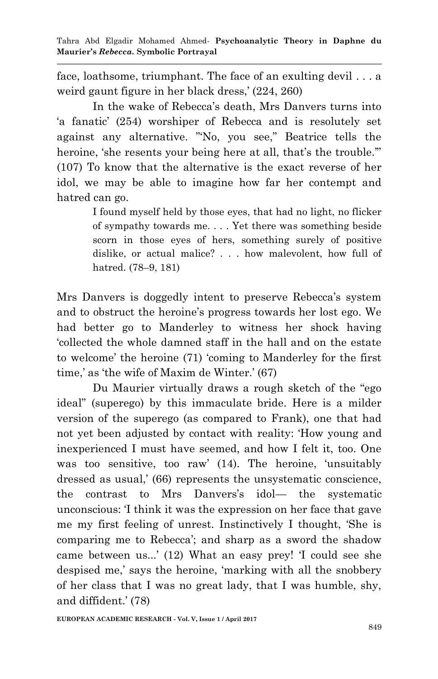face, loathsome, triumphant. The face of an exulting devil . . . a weird gaunt figure in her black dress,' (224, 260)

 In the wake of Rebecca's death, Mrs Danvers turns into ‗a fanatic' (254) worshiper of Rebecca and is resolutely set against any alternative. "No, you see," Beatrice tells the heroine, 'she resents your being here at all, that's the trouble." (107) To know that the alternative is the exact reverse of her idol, we may be able to imagine how far her contempt and hatred can go.

> I found myself held by those eyes, that had no light, no flicker of sympathy towards me. . . . Yet there was something beside scorn in those eyes of hers, something surely of positive dislike, or actual malice? . . . how malevolent, how full of hatred. (78–9, 181)

Mrs Danvers is doggedly intent to preserve Rebecca's system and to obstruct the heroine's progress towards her lost ego. We had better go to Manderley to witness her shock having ‗collected the whole damned staff in the hall and on the estate to welcome' the heroine (71) 'coming to Manderley for the first time,' as 'the wife of Maxim de Winter.' (67)

Du Maurier virtually draws a rough sketch of the "ego" ideal" (superego) by this immaculate bride. Here is a milder version of the superego (as compared to Frank), one that had not yet been adjusted by contact with reality: 'How young and inexperienced I must have seemed, and how I felt it, too. One was too sensitive, too raw' (14). The heroine, 'unsuitably dressed as usual,' (66) represents the unsystematic conscience, the contrast to Mrs Danvers's idol— the systematic unconscious: I think it was the expression on her face that gave me my first feeling of unrest. Instinctively I thought, 'She is comparing me to Rebecca'; and sharp as a sword the shadow came between us...' (12) What an easy prey! T could see she despised me,' says the heroine, 'marking with all the snobbery of her class that I was no great lady, that I was humble, shy, and diffident.' (78)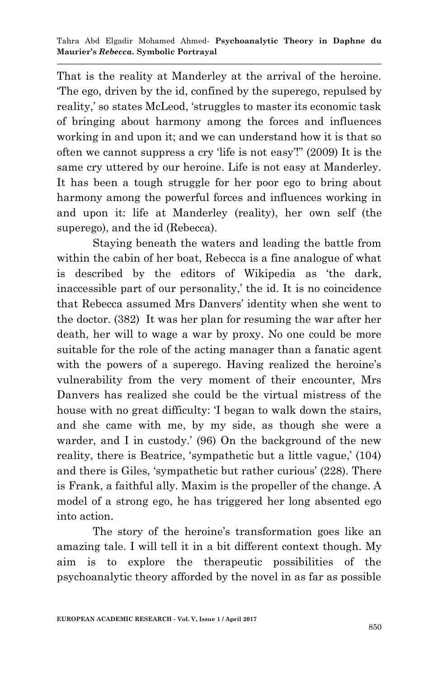That is the reality at Manderley at the arrival of the heroine. ‗The ego, driven by the id, confined by the superego, repulsed by reality,' so states McLeod, 'struggles to master its economic task of bringing about harmony among the forces and influences working in and upon it; and we can understand how it is that so often we cannot suppress a cry 'life is not easy'!"  $(2009)$  It is the same cry uttered by our heroine. Life is not easy at Manderley. It has been a tough struggle for her poor ego to bring about harmony among the powerful forces and influences working in and upon it: life at Manderley (reality), her own self (the superego), and the id (Rebecca).

 Staying beneath the waters and leading the battle from within the cabin of her boat, Rebecca is a fine analogue of what is described by the editors of Wikipedia as 'the dark, inaccessible part of our personality,' the id. It is no coincidence that Rebecca assumed Mrs Danvers' identity when she went to the doctor. (382) It was her plan for resuming the war after her death, her will to wage a war by proxy. No one could be more suitable for the role of the acting manager than a fanatic agent with the powers of a superego. Having realized the heroine's vulnerability from the very moment of their encounter, Mrs Danvers has realized she could be the virtual mistress of the house with no great difficulty: I began to walk down the stairs, and she came with me, by my side, as though she were a warder, and I in custody.' (96) On the background of the new reality, there is Beatrice, 'sympathetic but a little vague,' (104) and there is Giles, 'sympathetic but rather curious' (228). There is Frank, a faithful ally. Maxim is the propeller of the change. A model of a strong ego, he has triggered her long absented ego into action.

 The story of the heroine's transformation goes like an amazing tale. I will tell it in a bit different context though. My aim is to explore the therapeutic possibilities of the psychoanalytic theory afforded by the novel in as far as possible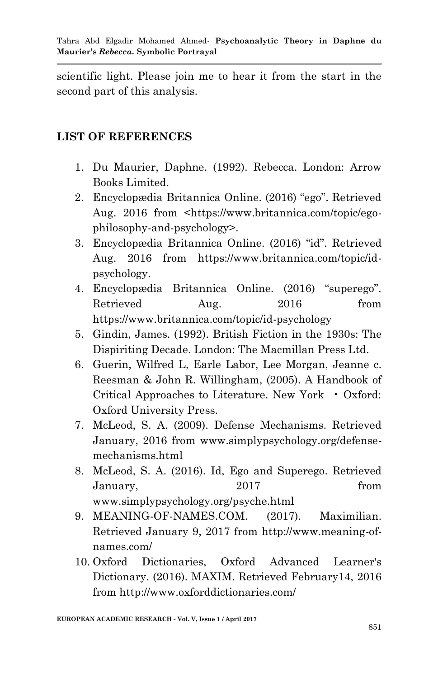scientific light. Please join me to hear it from the start in the second part of this analysis.

## **LIST OF REFERENCES**

- 1. Du Maurier, Daphne. (1992). Rebecca. London: Arrow Books Limited.
- 2. Encyclopædia Britannica Online. (2016) "ego". Retrieved Aug. 2016 from <https://www.britannica.com/topic/egophilosophy-and-psychology>.
- 3. Encyclopædia Britannica Online. (2016) "id". Retrieved Aug. 2016 from https://www.britannica.com/topic/idpsychology.
- 4. Encyclopædia Britannica Online. (2016) "superego". Retrieved Aug. 2016 from https://www.britannica.com/topic/id-psychology
- 5. Gindin, James. (1992). British Fiction in the 1930s: The Dispiriting Decade. London: The Macmillan Press Ltd.
- 6. Guerin, Wilfred L, Earle Labor, Lee Morgan, Jeanne c. Reesman & John R. Willingham, (2005). A Handbook of Critical Approaches to Literature. New York • Oxford: Oxford University Press.
- 7. McLeod, S. A. (2009). Defense Mechanisms. Retrieved January, 2016 from www.simplypsychology.org/defensemechanisms.html
- 8. McLeod, S. A. (2016). Id, Ego and Superego. Retrieved January, 2017 from www.simplypsychology.org/psyche.html
- 9. MEANING-OF-NAMES.COM. (2017). Maximilian. Retrieved January 9, 2017 from http://www.meaning-ofnames.com/
- 10. Oxford Dictionaries, Oxford Advanced Learner's Dictionary. (2016). MAXIM. Retrieved February14, 2016 from http://www.oxforddictionaries.com/